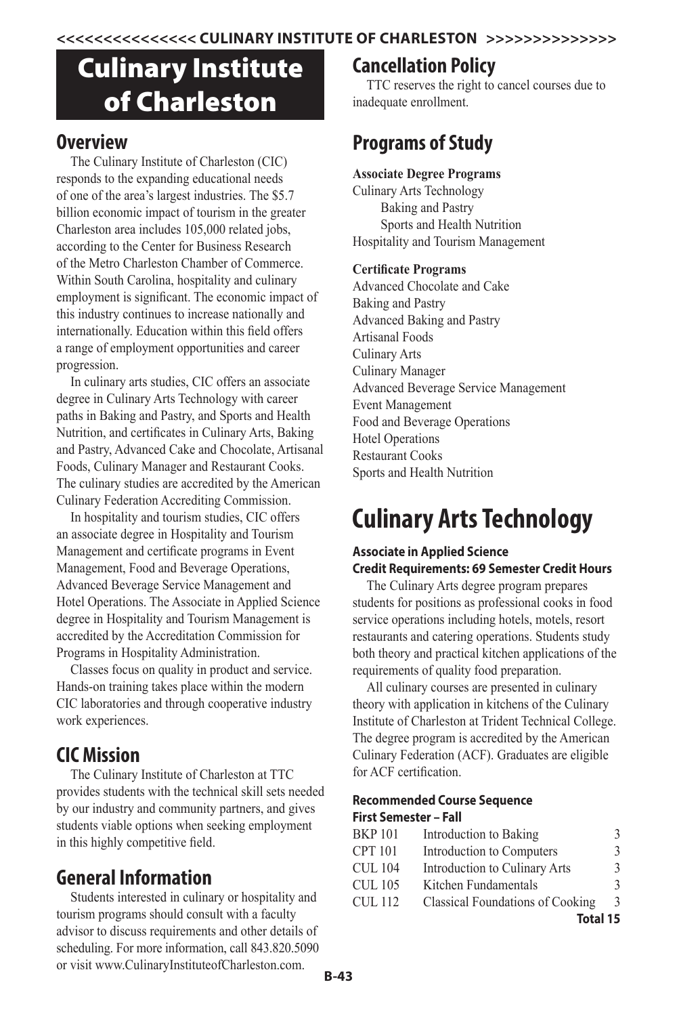# Culinary Institute of Charleston

# **Overview**

The Culinary Institute of Charleston (CIC) responds to the expanding educational needs of one of the area's largest industries. The \$5.7 billion economic impact of tourism in the greater Charleston area includes 105,000 related jobs, according to the Center for Business Research of the Metro Charleston Chamber of Commerce. Within South Carolina, hospitality and culinary employment is significant. The economic impact of this industry continues to increase nationally and internationally. Education within this field offers a range of employment opportunities and career progression.

In culinary arts studies, CIC offers an associate degree in Culinary Arts Technology with career paths in Baking and Pastry, and Sports and Health Nutrition, and certificates in Culinary Arts, Baking and Pastry, Advanced Cake and Chocolate, Artisanal Foods, Culinary Manager and Restaurant Cooks. The culinary studies are accredited by the American Culinary Federation Accrediting Commission.

In hospitality and tourism studies, CIC offers an associate degree in Hospitality and Tourism Management and certificate programs in Event Management, Food and Beverage Operations, Advanced Beverage Service Management and Hotel Operations. The Associate in Applied Science degree in Hospitality and Tourism Management is accredited by the Accreditation Commission for Programs in Hospitality Administration.

Classes focus on quality in product and service. Hands-on training takes place within the modern CIC laboratories and through cooperative industry work experiences.

# **CIC Mission**

The Culinary Institute of Charleston at TTC provides students with the technical skill sets needed by our industry and community partners, and gives students viable options when seeking employment in this highly competitive field.

# **General Information**

Students interested in culinary or hospitality and tourism programs should consult with a faculty advisor to discuss requirements and other details of scheduling. For more information, call 843.820.5090 or visit www.CulinaryInstituteofCharleston.com.

# **Cancellation Policy**

TTC reserves the right to cancel courses due to inadequate enrollment.

# **Programs of Study**

# **Associate Degree Programs**

Culinary Arts Technology Baking and Pastry Sports and Health Nutrition Hospitality and Tourism Management

# **Certificate Programs**

Advanced Chocolate and Cake Baking and Pastry Advanced Baking and Pastry Artisanal Foods Culinary Arts Culinary Manager Advanced Beverage Service Management Event Management Food and Beverage Operations Hotel Operations Restaurant Cooks Sports and Health Nutrition

# **Culinary Arts Technology**

# **Associate in Applied Science Credit Requirements: 69 Semester Credit Hours**

The Culinary Arts degree program prepares students for positions as professional cooks in food service operations including hotels, motels, resort restaurants and catering operations. Students study both theory and practical kitchen applications of the requirements of quality food preparation.

All culinary courses are presented in culinary theory with application in kitchens of the Culinary Institute of Charleston at Trident Technical College. The degree program is accredited by the American Culinary Federation (ACF). Graduates are eligible for ACF certification.

# **Recommended Course Sequence First Semester – Fall**

| <b>BKP101</b>  | Introduction to Baking                  | 3.            |
|----------------|-----------------------------------------|---------------|
| <b>CPT 101</b> | Introduction to Computers               | 3             |
| <b>CUL 104</b> | Introduction to Culinary Arts           | $\mathcal{F}$ |
| <b>CUL 105</b> | Kitchen Fundamentals                    |               |
| CUL 112        | <b>Classical Foundations of Cooking</b> | 3             |
|                | Total 15                                |               |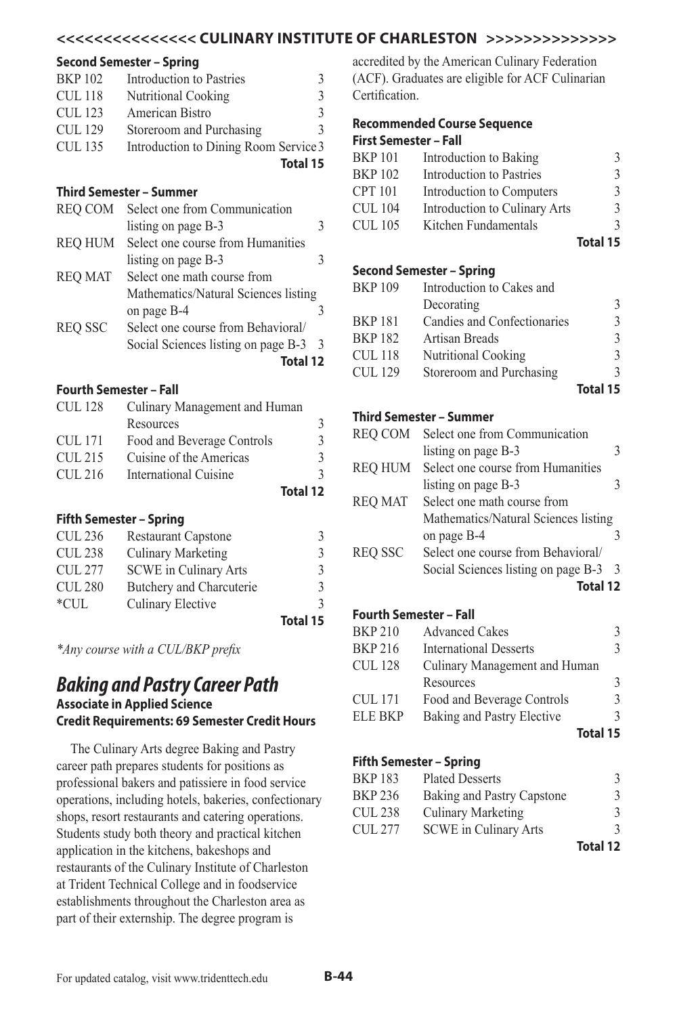## **<<<<<<<<<<<<<<< CULINARY INSTITUTE OF CHARLESTON >>>>>>>>>>>>>>**

#### **Second Semester – Spring**

| <b>BKP 102</b> | Introduction to Pastries              | 3.            |
|----------------|---------------------------------------|---------------|
| <b>CUL 118</b> | <b>Nutritional Cooking</b>            | 3             |
| CUL 123        | American Bistro                       | $\mathcal{L}$ |
| <b>CUL 129</b> | Storeroom and Purchasing              |               |
| <b>CUL 135</b> | Introduction to Dining Room Service 3 |               |
|                |                                       | Total 15      |

#### **Third Semester – Summer**

| <b>REO COM</b> | Select one from Communication        |  |
|----------------|--------------------------------------|--|
|                | listing on page B-3                  |  |
| <b>REO HUM</b> | Select one course from Humanities    |  |
|                | listing on page B-3                  |  |
| <b>REO MAT</b> | Select one math course from          |  |
|                | Mathematics/Natural Sciences listing |  |
|                | on page B-4                          |  |
| <b>REO SSC</b> | Select one course from Behavioral/   |  |
|                | Social Sciences listing on page B-3  |  |
|                | Total 12                             |  |

### **Fourth Semester – Fall**

| <b>CUL128</b> | Culinary Management and Human |          |
|---------------|-------------------------------|----------|
|               | Resources                     |          |
| CUL 171       | Food and Beverage Controls    | 3.       |
| CUL 215       | Cuisine of the Americas       | 3.       |
| CUL 216       | International Cuisine         |          |
|               |                               | Total 12 |
|               |                               |          |

#### **Fifth Semester – Spring**

| <b>CUL 236</b><br><b>Restaurant Capstone</b> |          |
|----------------------------------------------|----------|
| <b>Culinary Marketing</b><br><b>CUL 238</b>  |          |
| CUL 277<br><b>SCWE</b> in Culinary Arts      | 3        |
| <b>CUL 280</b><br>Butchery and Charcuterie   |          |
| $*$ CUL<br>Culinary Elective                 |          |
|                                              | Total 15 |

*\*Any course with a CUL/BKP prefix*

# *Baking and Pastry Career Path* **Associate in Applied Science Credit Requirements: 69 Semester Credit Hours**

The Culinary Arts degree Baking and Pastry career path prepares students for positions as professional bakers and patissiere in food service operations, including hotels, bakeries, confectionary shops, resort restaurants and catering operations. Students study both theory and practical kitchen application in the kitchens, bakeshops and restaurants of the Culinary Institute of Charleston at Trident Technical College and in foodservice establishments throughout the Charleston area as part of their externship. The degree program is

accredited by the American Culinary Federation (ACF). Graduates are eligible for ACF Culinarian **Certification** 

#### **Recommended Course Sequence First Semester – Fall**

| гнэг эспгезгег – ган |                               |               |
|----------------------|-------------------------------|---------------|
| <b>BKP101</b>        | Introduction to Baking        | 3             |
| <b>BKP102</b>        | Introduction to Pastries      | 3             |
| <b>CPT 101</b>       | Introduction to Computers     | $\mathcal{E}$ |
| <b>CUL 104</b>       | Introduction to Culinary Arts | $\mathcal{E}$ |
| <b>CUL 105</b>       | Kitchen Fundamentals          | $\mathcal{L}$ |
|                      |                               | Total 15      |

#### **Second Semester – Spring**

|                |                             | Total 15 |
|----------------|-----------------------------|----------|
| <b>CUL 129</b> | Storeroom and Purchasing    |          |
| <b>CUL 118</b> | <b>Nutritional Cooking</b>  |          |
| <b>BKP182</b>  | Artisan Breads              | 3        |
| <b>BKP181</b>  | Candies and Confectionaries |          |
|                | Decorating                  |          |
| <b>BKP109</b>  | Introduction to Cakes and   |          |
|                |                             |          |

#### **Third Semester – Summer**

| <b>REO COM</b> | Select one from Communication        |               |
|----------------|--------------------------------------|---------------|
|                | listing on page B-3                  |               |
| <b>REO HUM</b> | Select one course from Humanities    |               |
|                | listing on page B-3                  |               |
| <b>REO MAT</b> | Select one math course from          |               |
|                | Mathematics/Natural Sciences listing |               |
|                | on page B-4                          |               |
| <b>REO SSC</b> | Select one course from Behavioral/   |               |
|                | Social Sciences listing on page B-3  | $\mathcal{R}$ |
|                | Total 12                             |               |

# **Fourth Semester – Fall**

| <b>BKP 210</b> | <b>Advanced Cakes</b>         | 3               |
|----------------|-------------------------------|-----------------|
| <b>BKP 216</b> | <b>International Desserts</b> | 3               |
| <b>CUL 128</b> | Culinary Management and Human |                 |
|                | Resources                     | 3               |
| <b>CUL 171</b> | Food and Beverage Controls    | 3               |
| <b>ELE BKP</b> | Baking and Pastry Elective    | 3               |
|                |                               | <b>Total 15</b> |

## **Fifth Semester – Spring**

| <b>BKP183</b>  | <b>Plated Desserts</b>       |          |
|----------------|------------------------------|----------|
| <b>BKP 236</b> | Baking and Pastry Capstone   | 3        |
| <b>CUL 238</b> | Culinary Marketing           | 3        |
| <b>CUL 277</b> | <b>SCWE</b> in Culinary Arts | 3        |
|                |                              | Total 12 |